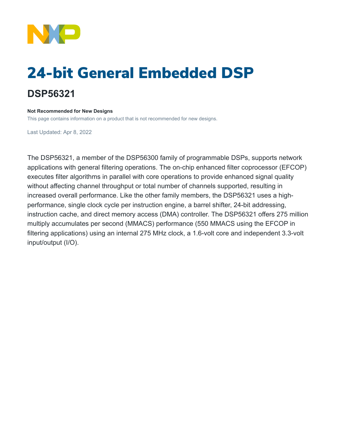

# 24-bit General Embedded DSP **DSP56321**

### **Not Recommended for New Designs**

This page contains information on a product that is not recommended for new designs.

Last Updated: Apr 8, 2022

The DSP56321, a member of the DSP56300 family of programmable DSPs, supports network applications with general filtering operations. The on-chip enhanced filter coprocessor (EFCOP) executes filter algorithms in parallel with core operations to provide enhanced signal quality without affecting channel throughput or total number of channels supported, resulting in increased overall performance. Like the other family members, the DSP56321 uses a highperformance, single clock cycle per instruction engine, a barrel shifter, 24-bit addressing, instruction cache, and direct memory access (DMA) controller. The DSP56321 offers 275 million multiply accumulates per second (MMACS) performance (550 MMACS using the EFCOP in filtering applications) using an internal 275 MHz clock, a 1.6-volt core and independent 3.3-volt input/output (I/O).